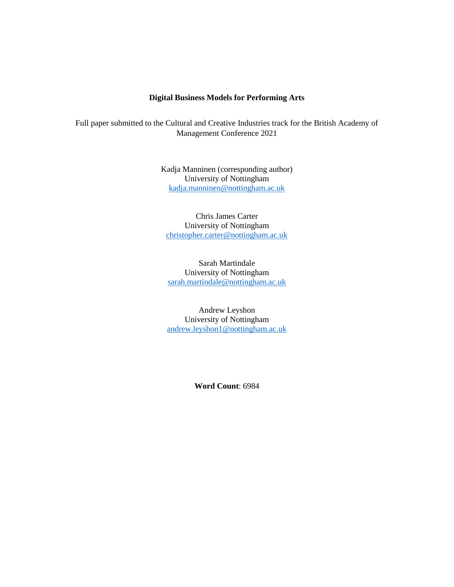### **Digital Business Models for Performing Arts**

Full paper submitted to the Cultural and Creative Industries track for the British Academy of Management Conference 2021

> Kadja Manninen (corresponding author) University of Nottingham [kadja.manninen@nottingham.ac.uk](mailto:kadja.manninen@nottingham.ac.uk)

Chris James Carter University of Nottingham [christopher.carter@nottingham.ac.uk](mailto:christopher.carter@nottingham.ac.uk)

Sarah Martindale University of Nottingham [sarah.martindale@nottingham.ac.uk](mailto:sarah.martindale@nottingham.ac.uk)

Andrew Leyshon University of Nottingham [andrew.leyshon1@nottingham.ac.uk](mailto:andrew.leyshon1@nottingham.ac.uk)

**Word Count**: 6984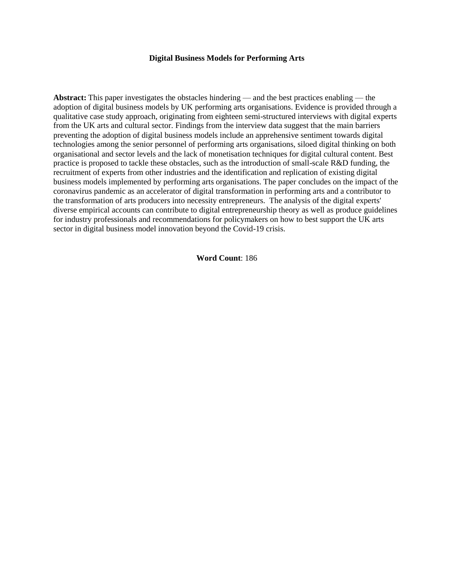#### **Digital Business Models for Performing Arts**

**Abstract:** This paper investigates the obstacles hindering — and the best practices enabling — the adoption of digital business models by UK performing arts organisations. Evidence is provided through a qualitative case study approach, originating from eighteen semi-structured interviews with digital experts from the UK arts and cultural sector. Findings from the interview data suggest that the main barriers preventing the adoption of digital business models include an apprehensive sentiment towards digital technologies among the senior personnel of performing arts organisations, siloed digital thinking on both organisational and sector levels and the lack of monetisation techniques for digital cultural content. Best practice is proposed to tackle these obstacles, such as the introduction of small-scale R&D funding, the recruitment of experts from other industries and the identification and replication of existing digital business models implemented by performing arts organisations. The paper concludes on the impact of the coronavirus pandemic as an accelerator of digital transformation in performing arts and a contributor to the transformation of arts producers into necessity entrepreneurs. The analysis of the digital experts' diverse empirical accounts can contribute to digital entrepreneurship theory as well as produce guidelines for industry professionals and recommendations for policymakers on how to best support the UK arts sector in digital business model innovation beyond the Covid-19 crisis.

**Word Count**: 186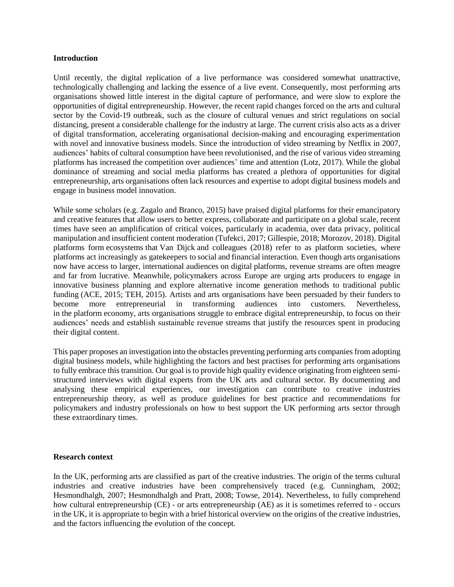#### **Introduction**

Until recently, the digital replication of a live performance was considered somewhat unattractive, technologically challenging and lacking the essence of a live event. Consequently, most performing arts organisations showed little interest in the digital capture of performance, and were slow to explore the opportunities of digital entrepreneurship. However, the recent rapid changes forced on the arts and cultural sector by the Covid-19 outbreak, such as the closure of cultural venues and strict regulations on social distancing, present a considerable challenge for the industry at large. The current crisis also acts as a driver of digital transformation, accelerating organisational decision-making and encouraging experimentation with novel and innovative business models. Since the introduction of video streaming by Netflix in 2007, audiences' habits of cultural consumption have been revolutionised, and the rise of various video streaming platforms has increased the competition over audiences' time and attention (Lotz, 2017). While the global dominance of streaming and social media platforms has created a plethora of opportunities for digital entrepreneurship, arts organisations often lack resources and expertise to adopt digital business models and engage in business model innovation.

While some scholars (e.g. Zagalo and Branco, 2015) have praised digital platforms for their emancipatory and creative features that allow users to better express, collaborate and participate on a global scale, recent times have seen an amplification of critical voices, particularly in academia, over data privacy, political manipulation and insufficient content moderation (Tufekci, 2017; Gillespie, 2018; Morozov, 2018). Digital platforms form ecosystems that Van Dijck and colleagues (2018) refer to as platform societies, where platforms act increasingly as gatekeepers to social and financial interaction. Even though arts organisations now have access to larger, international audiences on digital platforms, revenue streams are often meagre and far from lucrative. Meanwhile, policymakers across Europe are urging arts producers to engage in innovative business planning and explore alternative income generation methods to traditional public funding (ACE, 2015; TEH, 2015). Artists and arts organisations have been persuaded by their funders to become more entrepreneurial in transforming audiences into customers. Nevertheless, in the platform economy, arts organisations struggle to embrace digital entrepreneurship, to focus on their audiences' needs and establish sustainable revenue streams that justify the resources spent in producing their digital content.

This paper proposes an investigation into the obstacles preventing performing arts companies from adopting digital business models, while highlighting the factors and best practises for performing arts organisations to fully embrace this transition. Our goal is to provide high quality evidence originating from eighteen semistructured interviews with digital experts from the UK arts and cultural sector. By documenting and analysing these empirical experiences, our investigation can contribute to creative industries entrepreneurship theory, as well as produce guidelines for best practice and recommendations for policymakers and industry professionals on how to best support the UK performing arts sector through these extraordinary times.

# **Research context**

In the UK, performing arts are classified as part of the creative industries. The origin of the terms cultural industries and creative industries have been comprehensively traced (e.g. Cunningham, 2002; Hesmondhalgh, 2007; Hesmondhalgh and Pratt, 2008; Towse, 2014). Nevertheless, to fully comprehend how cultural entrepreneurship (CE) - or arts entrepreneurship (AE) as it is sometimes referred to - occurs in the UK, it is appropriate to begin with a brief historical overview on the origins of the creative industries, and the factors influencing the evolution of the concept.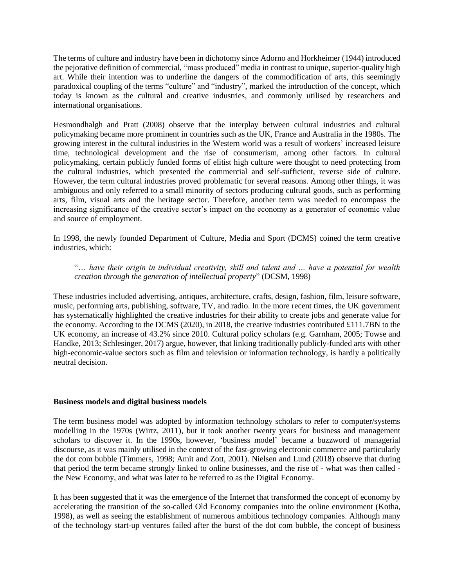The terms of culture and industry have been in dichotomy since Adorno and Horkheimer (1944) introduced the pejorative definition of commercial, "mass produced" media in contrast to unique, superior-quality high art. While their intention was to underline the dangers of the commodification of arts, this seemingly paradoxical coupling of the terms "culture" and "industry", marked the introduction of the concept, which today is known as the cultural and creative industries, and commonly utilised by researchers and international organisations.

Hesmondhalgh and Pratt (2008) observe that the interplay between cultural industries and cultural policymaking became more prominent in countries such as the UK, France and Australia in the 1980s. The growing interest in the cultural industries in the Western world was a result of workers' increased leisure time, technological development and the rise of consumerism, among other factors. In cultural policymaking, certain publicly funded forms of elitist high culture were thought to need protecting from the cultural industries, which presented the commercial and self-sufficient, reverse side of culture. However, the term cultural industries proved problematic for several reasons. Among other things, it was ambiguous and only referred to a small minority of sectors producing cultural goods, such as performing arts, film, visual arts and the heritage sector. Therefore, another term was needed to encompass the increasing significance of the creative sector's impact on the economy as a generator of economic value and source of employment.

In 1998, the newly founded Department of Culture, Media and Sport (DCMS) coined the term creative industries, which:

# "… *have their origin in individual creativity, skill and talent and … have a potential for wealth creation through the generation of intellectual property*" (DCSM, 1998)

These industries included advertising, antiques, architecture, crafts, design, fashion, film, leisure software, music, performing arts, publishing, software, TV, and radio. In the more recent times, the UK government has systematically highlighted the creative industries for their ability to create jobs and generate value for the economy. According to the DCMS (2020), in 2018, the creative industries contributed £111.7BN to the UK economy, an increase of 43.2% since 2010. Cultural policy scholars (e.g. Garnham, 2005; Towse and Handke, 2013; Schlesinger, 2017) argue, however, that linking traditionally publicly-funded arts with other high-economic-value sectors such as film and television or information technology, is hardly a politically neutral decision.

#### **Business models and digital business models**

The term business model was adopted by information technology scholars to refer to computer/systems modelling in the 1970s (Wirtz, 2011), but it took another twenty years for business and management scholars to discover it. In the 1990s, however, 'business model' became a buzzword of managerial discourse, as it was mainly utilised in the context of the fast-growing electronic commerce and particularly the dot com bubble (Timmers, 1998; Amit and Zott, 2001). Nielsen and Lund (2018) observe that during that period the term became strongly linked to online businesses, and the rise of - what was then called the New Economy, and what was later to be referred to as the Digital Economy.

It has been suggested that it was the emergence of the Internet that transformed the concept of economy by accelerating the transition of the so-called Old Economy companies into the online environment (Kotha, 1998), as well as seeing the establishment of numerous ambitious technology companies. Although many of the technology start-up ventures failed after the burst of the dot com bubble, the concept of business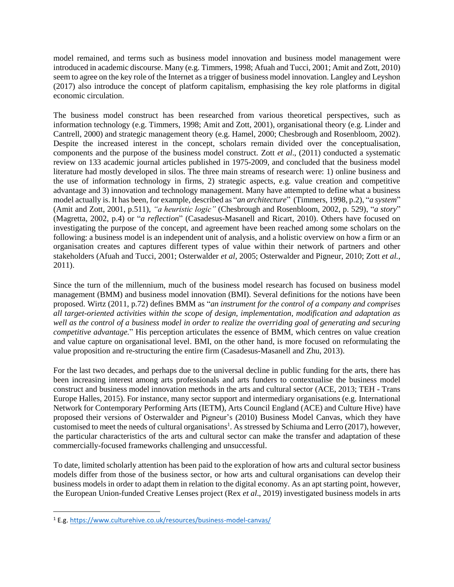model remained, and terms such as business model innovation and business model management were introduced in academic discourse. Many (e.g. Timmers, 1998; Afuah and Tucci, 2001; Amit and Zott, 2010) seem to agree on the key role of the Internet as a trigger of business model innovation. Langley and Leyshon (2017) also introduce the concept of platform capitalism, emphasising the key role platforms in digital economic circulation.

The business model construct has been researched from various theoretical perspectives, such as information technology (e.g. Timmers, 1998; Amit and Zott, 2001), organisational theory (e.g. Linder and Cantrell, 2000) and strategic management theory (e.g. Hamel, 2000; Chesbrough and Rosenbloom, 2002). Despite the increased interest in the concept, scholars remain divided over the conceptualisation, components and the purpose of the business model construct. Zott *et al*., (2011) conducted a systematic review on 133 academic journal articles published in 1975-2009, and concluded that the business model literature had mostly developed in silos. The three main streams of research were: 1) online business and the use of information technology in firms, 2) strategic aspects, e.g. value creation and competitive advantage and 3) innovation and technology management. Many have attempted to define what a business model actually is. It has been, for example, described as "*an architecture*" (Timmers, 1998, p.2), "*a system*" (Amit and Zott, 2001, p.511), *"a heuristic logic"* (Chesbrough and Rosenbloom, 2002, p. 529), "*a story*" (Magretta, 2002, p.4) or "*a reflection*" (Casadesus-Masanell and Ricart, 2010). Others have focused on investigating the purpose of the concept, and agreement have been reached among some scholars on the following: a business model is an independent unit of analysis, and a holistic overview on how a firm or an organisation creates and captures different types of value within their network of partners and other stakeholders (Afuah and Tucci, 2001; Osterwalder *et al*, 2005; Osterwalder and Pigneur, 2010; Zott *et al.*, 2011).

Since the turn of the millennium, much of the business model research has focused on business model management (BMM) and business model innovation (BMI). Several definitions for the notions have been proposed. Wirtz (2011, p.72) defines BMM as "*an instrument for the control of a company and comprises all target-oriented activities within the scope of design, implementation, modification and adaptation as well as the control of a business model in order to realize the overriding goal of generating and securing competitive advantage.*" His perception articulates the essence of BMM, which centres on value creation and value capture on organisational level. BMI, on the other hand, is more focused on reformulating the value proposition and re-structuring the entire firm (Casadesus-Masanell and Zhu, 2013).

For the last two decades, and perhaps due to the universal decline in public funding for the arts, there has been increasing interest among arts professionals and arts funders to contextualise the business model construct and business model innovation methods in the arts and cultural sector (ACE, 2013; TEH - Trans Europe Halles, 2015). For instance, many sector support and intermediary organisations (e.g. International Network for Contemporary Performing Arts (IETM), Arts Council England (ACE) and Culture Hive) have proposed their versions of Osterwalder and Pigneur's (2010) Business Model Canvas, which they have customised to meet the needs of cultural organisations<sup>1</sup>. As stressed by Schiuma and Lerro (2017), however, the particular characteristics of the arts and cultural sector can make the transfer and adaptation of these commercially-focused frameworks challenging and unsuccessful.

To date, limited scholarly attention has been paid to the exploration of how arts and cultural sector business models differ from those of the business sector, or how arts and cultural organisations can develop their business models in order to adapt them in relation to the digital economy. As an apt starting point, however, the European Union-funded Creative Lenses project (Rex *et al*., 2019) investigated business models in arts

 $\overline{\phantom{a}}$ 

<sup>1</sup> E.g[. https://www.culturehive.co.uk/resources/business-model-canvas/](https://www.culturehive.co.uk/resources/business-model-canvas/)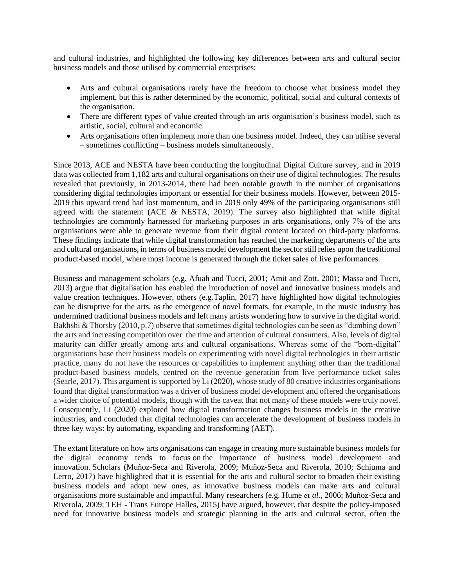and cultural industries, and highlighted the following key differences between arts and cultural sector business models and those utilised by commercial enterprises:

- Arts and cultural organisations rarely have the freedom to choose what business model they implement, but this is rather determined by the economic, political, social and cultural contexts of the organisation.
- There are different types of value created through an arts organisation's business model, such as artistic, social, cultural and economic.
- Arts organisations often implement more than one business model. Indeed, they can utilise several – sometimes conflicting – business models simultaneously.

Since 2013, ACE and NESTA have been conducting the longitudinal Digital Culture survey, and in 2019 data was collected from 1,182 arts and cultural organisations on their use of digital technologies. The results revealed that previously, in 2013-2014, there had been notable growth in the number of organisations considering digital technologies important or essential for their business models. However, between 2015- 2019 this upward trend had lost momentum, and in 2019 only 49% of the participating organisations still agreed with the statement (ACE & NESTA, 2019). The survey also highlighted that while digital technologies are commonly harnessed for marketing purposes in arts organisations, only 7% of the arts organisations were able to generate revenue from their digital content located on third-party platforms. These findings indicate that while digital transformation has reached the marketing departments of the arts and cultural organisations, in terms of business model development the sector still relies upon the traditional product-based model, where most income is generated through the ticket sales of live performances.

Business and management scholars (e.g. Afuah and Tucci, 2001; Amit and Zott, 2001; Massa and Tucci, 2013) argue that digitalisation has enabled the introduction of novel and innovative business models and value creation techniques. However, others (e.g.Taplin, 2017) have highlighted how digital technologies can be disruptive for the arts, as the emergence of novel formats, for example, in the music industry has undermined traditional business models and left many artists wondering how to survive in the digital world. Bakhshi & Thorsby (2010, p.7) observe that sometimes digital technologies can be seen as "dumbing down" the arts and increasing competition over the time and attention of cultural consumers. Also, levels of digital maturity can differ greatly among arts and cultural organisations. Whereas some of the "born-digital" organisations base their business models on experimenting with novel digital technologies in their artistic practice, many do not have the resources or capabilities to implement anything other than the traditional product-based business models, centred on the revenue generation from live performance ticket sales (Searle, 2017). This argument is supported by Li (2020), whose study of 80 creative industries organisations found that digital transformation was a driver of business model development and offered the organisations a wider choice of potential models, though with the caveat that not many of these models were truly novel. Consequently, Li (2020) explored how digital transformation changes business models in the creative industries, and concluded that digital technologies can accelerate the development of business models in three key ways: by automating, expanding and transforming (AET).

The extant literature on how arts organisations can engage in creating more sustainable business models for the digital economy tends to focus on the importance of business model development and innovation. Scholars (Muñoz-Seca and Riverola, 2009; Muñoz-Seca and Riverola, 2010; Schiuma and Lerro, 2017) have highlighted that it is essential for the arts and cultural sector to broaden their existing business models and adopt new ones, as innovative business models can make arts and cultural organisations more sustainable and impactful. Many researchers (e.g. Hume *et al.*, 2006; Muñoz-Seca and Riverola, 2009; TEH - Trans Europe Halles, 2015) have argued, however, that despite the policy-imposed need for innovative business models and strategic planning in the arts and cultural sector, often the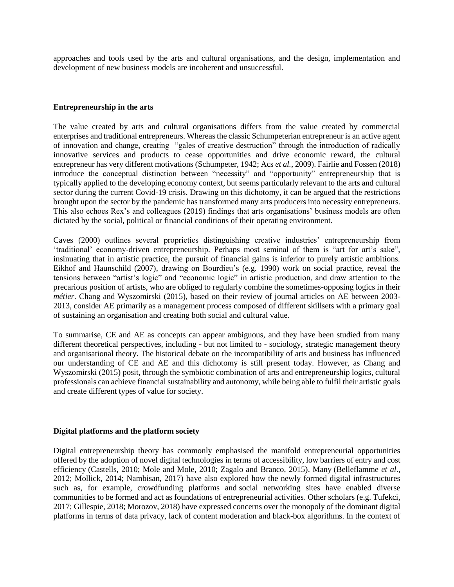approaches and tools used by the arts and cultural organisations, and the design, implementation and development of new business models are incoherent and unsuccessful.

### **Entrepreneurship in the arts**

The value created by arts and cultural organisations differs from the value created by commercial enterprises and traditional entrepreneurs. Whereas the classic Schumpeterian entrepreneur is an active agent of innovation and change, creating "gales of creative destruction" through the introduction of radically innovative services and products to cease opportunities and drive economic reward, the cultural entrepreneur has very different motivations (Schumpeter, 1942; Acs *et al.*, 2009). Fairlie and Fossen (2018) introduce the conceptual distinction between "necessity" and "opportunity" entrepreneurship that is typically applied to the developing economy context, but seems particularly relevant to the arts and cultural sector during the current Covid-19 crisis. Drawing on this dichotomy, it can be argued that the restrictions brought upon the sector by the pandemic has transformed many arts producers into necessity entrepreneurs. This also echoes Rex's and colleagues (2019) findings that arts organisations' business models are often dictated by the social, political or financial conditions of their operating environment.

Caves (2000) outlines several proprieties distinguishing creative industries' entrepreneurship from 'traditional' economy-driven entrepreneurship. Perhaps most seminal of them is "art for art's sake", insinuating that in artistic practice, the pursuit of financial gains is inferior to purely artistic ambitions. Eikhof and Haunschild (2007), drawing on Bourdieu's (e.g. 1990) work on social practice, reveal the tensions between "artist's logic" and "economic logic" in artistic production, and draw attention to the precarious position of artists, who are obliged to regularly combine the sometimes-opposing logics in their *métier*. Chang and Wyszomirski (2015), based on their review of journal articles on AE between 2003- 2013, consider AE primarily as a management process composed of different skillsets with a primary goal of sustaining an organisation and creating both social and cultural value.

To summarise, CE and AE as concepts can appear ambiguous, and they have been studied from many different theoretical perspectives, including - but not limited to - sociology, strategic management theory and organisational theory. The historical debate on the incompatibility of arts and business has influenced our understanding of CE and AE and this dichotomy is still present today. However, as Chang and Wyszomirski (2015) posit, through the symbiotic combination of arts and entrepreneurship logics, cultural professionals can achieve financial sustainability and autonomy, while being able to fulfil their artistic goals and create different types of value for society.

#### **Digital platforms and the platform society**

Digital entrepreneurship theory has commonly emphasised the manifold entrepreneurial opportunities offered by the adoption of novel digital technologies in terms of accessibility, low barriers of entry and cost efficiency (Castells, 2010; Mole and Mole, 2010; Zagalo and Branco, 2015). Many (Belleflamme *et al*., 2012; Mollick, 2014; Nambisan, 2017) have also explored how the newly formed digital infrastructures such as, for example, crowdfunding platforms and social networking sites have enabled diverse communities to be formed and act as foundations of entrepreneurial activities. Other scholars (e.g. Tufekci, 2017; Gillespie, 2018; Morozov, 2018) have expressed concerns over the monopoly of the dominant digital platforms in terms of data privacy, lack of content moderation and black-box algorithms. In the context of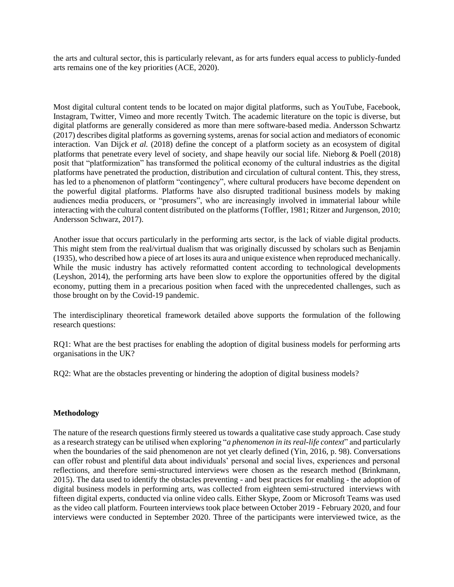the arts and cultural sector, this is particularly relevant, as for arts funders equal access to publicly-funded arts remains one of the key priorities (ACE, 2020).

Most digital cultural content tends to be located on major digital platforms, such as YouTube, Facebook, Instagram, Twitter, Vimeo and more recently Twitch. The academic literature on the topic is diverse, but digital platforms are generally considered as more than mere software-based media. Andersson Schwartz (2017) describes digital platforms as governing systems, arenas for social action and mediators of economic interaction. Van Dijck *et al.* (2018) define the concept of a platform society as an ecosystem of digital platforms that penetrate every level of society, and shape heavily our social life. Nieborg & Poell (2018) posit that "platformization" has transformed the political economy of the cultural industries as the digital platforms have penetrated the production, distribution and circulation of cultural content. This, they stress, has led to a phenomenon of platform "contingency", where cultural producers have become dependent on the powerful digital platforms. Platforms have also disrupted traditional business models by making audiences media producers, or "prosumers", who are increasingly involved in immaterial labour while interacting with the cultural content distributed on the platforms (Toffler, 1981; Ritzer and Jurgenson, 2010; Andersson Schwarz, 2017).

Another issue that occurs particularly in the performing arts sector, is the lack of viable digital products. This might stem from the real/virtual dualism that was originally discussed by scholars such as Benjamin (1935), who described how a piece of art loses its aura and unique existence when reproduced mechanically. While the music industry has actively reformatted content according to technological developments (Leyshon, 2014), the performing arts have been slow to explore the opportunities offered by the digital economy, putting them in a precarious position when faced with the unprecedented challenges, such as those brought on by the Covid-19 pandemic.

The interdisciplinary theoretical framework detailed above supports the formulation of the following research questions:

RQ1: What are the best practises for enabling the adoption of digital business models for performing arts organisations in the UK?

RQ2: What are the obstacles preventing or hindering the adoption of digital business models?

#### **Methodology**

The nature of the research questions firmly steered us towards a qualitative case study approach. Case study as a research strategy can be utilised when exploring "*a phenomenon in its real-life context*" and particularly when the boundaries of the said phenomenon are not yet clearly defined (Yin, 2016, p. 98). Conversations can offer robust and plentiful data about individuals' personal and social lives, experiences and personal reflections, and therefore semi-structured interviews were chosen as the research method (Brinkmann, 2015). The data used to identify the obstacles preventing - and best practices for enabling - the adoption of digital business models in performing arts, was collected from eighteen semi-structured interviews with fifteen digital experts, conducted via online video calls. Either Skype, Zoom or Microsoft Teams was used as the video call platform. Fourteen interviews took place between October 2019 - February 2020, and four interviews were conducted in September 2020. Three of the participants were interviewed twice, as the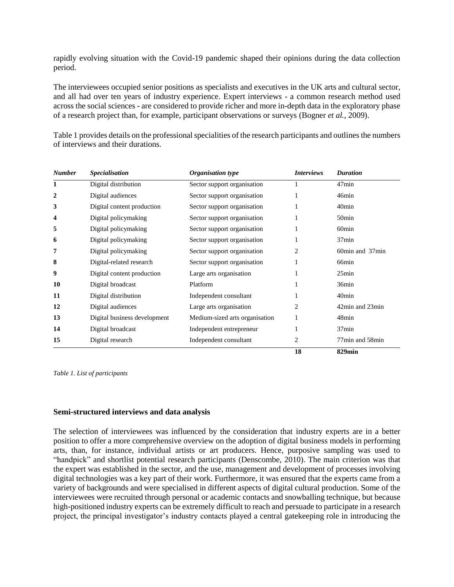rapidly evolving situation with the Covid-19 pandemic shaped their opinions during the data collection period.

The interviewees occupied senior positions as specialists and executives in the UK arts and cultural sector, and all had over ten years of industry experience. Expert interviews - a common research method used across the social sciences - are considered to provide richer and more in-depth data in the exploratory phase of a research project than, for example, participant observations or surveys (Bogner *et al.*, 2009).

Table 1 provides details on the professional specialities of the research participants and outlines the numbers of interviews and their durations.

| <b>Number</b> | <b>Specialisation</b>        | Organisation type              | <i>Interviews</i> | <b>Duration</b>   |
|---------------|------------------------------|--------------------------------|-------------------|-------------------|
| 1             | Digital distribution         | Sector support organisation    |                   | $47$ min          |
| 2             | Digital audiences            | Sector support organisation    |                   | 46min             |
| 3             | Digital content production   | Sector support organisation    |                   | 40 <sub>min</sub> |
| 4             | Digital policymaking         | Sector support organisation    |                   | 50 <sub>min</sub> |
| 5             | Digital policymaking         | Sector support organisation    |                   | 60 <sub>min</sub> |
| 6             | Digital policymaking         | Sector support organisation    |                   | 37min             |
| 7             | Digital policymaking         | Sector support organisation    | 2                 | 60min and 37min   |
| 8             | Digital-related research     | Sector support organisation    |                   | 66min             |
| 9             | Digital content production   | Large arts organisation        |                   | 25min             |
| 10            | Digital broadcast            | Platform                       |                   | 36min             |
| 11            | Digital distribution         | Independent consultant         | 1                 | 40 <sub>min</sub> |
| 12            | Digital audiences            | Large arts organisation        | $\overline{2}$    | 42min and 23min   |
| 13            | Digital business development | Medium-sized arts organisation | 1                 | 48min             |
| 14            | Digital broadcast            | Independent entrepreneur       |                   | 37min             |
| 15            | Digital research             | Independent consultant         | 2                 | 77min and 58min   |
|               |                              |                                | 18                | 829min            |

*Table 1. List of participants*

### **Semi-structured interviews and data analysis**

The selection of interviewees was influenced by the consideration that industry experts are in a better position to offer a more comprehensive overview on the adoption of digital business models in performing arts, than, for instance, individual artists or art producers. Hence, purposive sampling was used to "handpick" and shortlist potential research participants (Denscombe, 2010). The main criterion was that the expert was established in the sector, and the use, management and development of processes involving digital technologies was a key part of their work. Furthermore, it was ensured that the experts came from a variety of backgrounds and were specialised in different aspects of digital cultural production. Some of the interviewees were recruited through personal or academic contacts and snowballing technique, but because high-positioned industry experts can be extremely difficult to reach and persuade to participate in a research project, the principal investigator's industry contacts played a central gatekeeping role in introducing the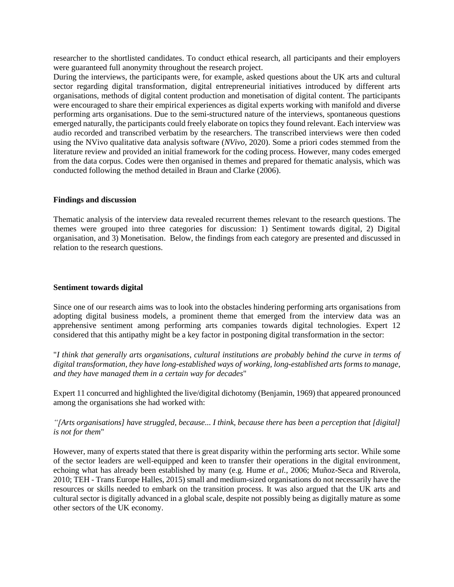researcher to the shortlisted candidates. To conduct ethical research, all participants and their employers were guaranteed full anonymity throughout the research project.

During the interviews, the participants were, for example, asked questions about the UK arts and cultural sector regarding digital transformation, digital entrepreneurial initiatives introduced by different arts organisations, methods of digital content production and monetisation of digital content. The participants were encouraged to share their empirical experiences as digital experts working with manifold and diverse performing arts organisations. Due to the semi-structured nature of the interviews, spontaneous questions emerged naturally, the participants could freely elaborate on topics they found relevant. Each interview was audio recorded and transcribed verbatim by the researchers. The transcribed interviews were then coded using the NVivo qualitative data analysis software (*NVivo*, 2020). Some a priori codes stemmed from the literature review and provided an initial framework for the coding process. However, many codes emerged from the data corpus. Codes were then organised in themes and prepared for thematic analysis, which was conducted following the method detailed in Braun and Clarke (2006).

### **Findings and discussion**

Thematic analysis of the interview data revealed recurrent themes relevant to the research questions. The themes were grouped into three categories for discussion: 1) Sentiment towards digital, 2) Digital organisation, and 3) Monetisation. Below, the findings from each category are presented and discussed in relation to the research questions.

#### **Sentiment towards digital**

Since one of our research aims was to look into the obstacles hindering performing arts organisations from adopting digital business models, a prominent theme that emerged from the interview data was an apprehensive sentiment among performing arts companies towards digital technologies. Expert 12 considered that this antipathy might be a key factor in postponing digital transformation in the sector:

"*I think that generally arts organisations, cultural institutions are probably behind the curve in terms of digital transformation, they have long-established ways of working, long-established arts forms to manage, and they have managed them in a certain way for decades*"

Expert 11 concurred and highlighted the live/digital dichotomy (Benjamin, 1969) that appeared pronounced among the organisations she had worked with:

# *"[Arts organisations] have struggled, because... I think, because there has been a perception that [digital] is not for them*"

However, many of experts stated that there is great disparity within the performing arts sector. While some of the sector leaders are well-equipped and keen to transfer their operations in the digital environment, echoing what has already been established by many (e.g. Hume *et al.*, 2006; Muñoz-Seca and Riverola, 2010; TEH - Trans Europe Halles, 2015) small and medium-sized organisations do not necessarily have the resources or skills needed to embark on the transition process. It was also argued that the UK arts and cultural sector is digitally advanced in a global scale, despite not possibly being as digitally mature as some other sectors of the UK economy.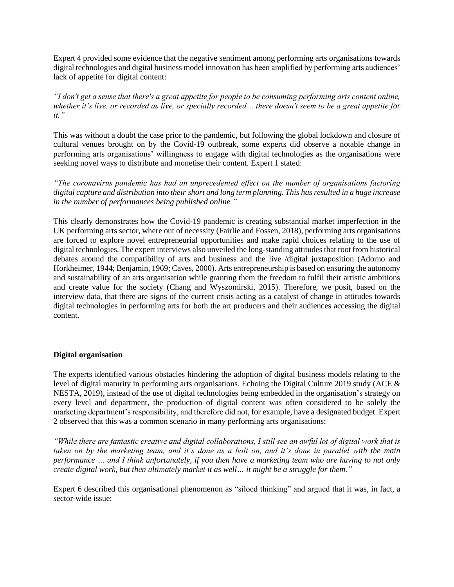Expert 4 provided some evidence that the negative sentiment among performing arts organisations towards digital technologies and digital business model innovation has been amplified by performing arts audiences' lack of appetite for digital content:

*"I don't get a sense that there's a great appetite for people to be consuming performing arts content online, whether it's live, or recorded as live, or specially recorded… there doesn't seem to be a great appetite for it."*

This was without a doubt the case prior to the pandemic, but following the global lockdown and closure of cultural venues brought on by the Covid-19 outbreak, some experts did observe a notable change in performing arts organisations' willingness to engage with digital technologies as the organisations were seeking novel ways to distribute and monetise their content. Expert 1 stated:

*"The coronavirus pandemic has had an unprecedented effect on the number of organisations factoring digital capture and distribution into their short and long term planning. This has resulted in a huge increase in the number of performances being published online."*

This clearly demonstrates how the Covid-19 pandemic is creating substantial market imperfection in the UK performing arts sector, where out of necessity (Fairlie and Fossen, 2018), performing arts organisations are forced to explore novel entrepreneurial opportunities and make rapid choices relating to the use of digital technologies. The expert interviews also unveiled the long-standing attitudes that root from historical debates around the compatibility of arts and business and the live /digital juxtaposition (Adorno and Horkheimer, 1944; Benjamin, 1969; Caves, 2000). Arts entrepreneurship is based on ensuring the autonomy and sustainability of an arts organisation while granting them the freedom to fulfil their artistic ambitions and create value for the society (Chang and Wyszomirski, 2015). Therefore, we posit, based on the interview data, that there are signs of the current crisis acting as a catalyst of change in attitudes towards digital technologies in performing arts for both the art producers and their audiences accessing the digital content.

# **Digital organisation**

The experts identified various obstacles hindering the adoption of digital business models relating to the level of digital maturity in performing arts organisations. Echoing the Digital Culture 2019 study (ACE & NESTA, 2019), instead of the use of digital technologies being embedded in the organisation's strategy on every level and department, the production of digital content was often considered to be solely the marketing department's responsibility, and therefore did not, for example, have a designated budget. Expert 2 observed that this was a common scenario in many performing arts organisations:

*"While there are fantastic creative and digital collaborations, I still see an awful lot of digital work that is taken on by the marketing team, and it's done as a bolt on, and it's done in parallel with the main performance … and I think unfortunately, if you then have a marketing team who are having to not only create digital work, but then ultimately market it as well… it might be a struggle for them."* 

Expert 6 described this organisational phenomenon as "siloed thinking" and argued that it was, in fact, a sector-wide issue: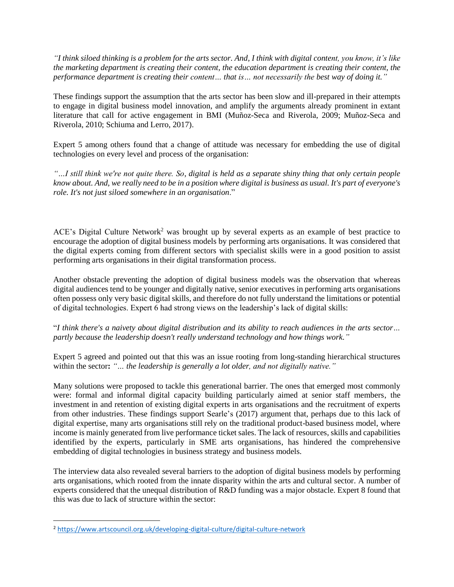*"I think siloed thinking is a problem for the arts sector. And, I think with digital content, you know, it's like the marketing department is creating their content, the education department is creating their content, the performance department is creating their content… that is… not necessarily the best way of doing it."*

These findings support the assumption that the arts sector has been slow and ill-prepared in their attempts to engage in digital business model innovation, and amplify the arguments already prominent in extant literature that call for active engagement in BMI (Muñoz-Seca and Riverola, 2009; Muñoz-Seca and Riverola, 2010; Schiuma and Lerro, 2017).

Expert 5 among others found that a change of attitude was necessary for embedding the use of digital technologies on every level and process of the organisation:

*"…I still think we're not quite there. So, digital is held as a separate shiny thing that only certain people know about. And, we really need to be in a position where digital is business as usual. It's part of everyone's role. It's not just siloed somewhere in an organisation*."

ACE's Digital Culture Network<sup>2</sup> was brought up by several experts as an example of best practice to encourage the adoption of digital business models by performing arts organisations. It was considered that the digital experts coming from different sectors with specialist skills were in a good position to assist performing arts organisations in their digital transformation process.

Another obstacle preventing the adoption of digital business models was the observation that whereas digital audiences tend to be younger and digitally native, senior executives in performing arts organisations often possess only very basic digital skills, and therefore do not fully understand the limitations or potential of digital technologies. Expert 6 had strong views on the leadership's lack of digital skills:

# "*I think there's a naivety about digital distribution and its ability to reach audiences in the arts sector… partly because the leadership doesn't really understand technology and how things work."*

Expert 5 agreed and pointed out that this was an issue rooting from long-standing hierarchical structures within the sector**:** *"… the leadership is generally a lot older, and not digitally native."*

Many solutions were proposed to tackle this generational barrier. The ones that emerged most commonly were: formal and informal digital capacity building particularly aimed at senior staff members, the investment in and retention of existing digital experts in arts organisations and the recruitment of experts from other industries. These findings support Searle's (2017) argument that, perhaps due to this lack of digital expertise, many arts organisations still rely on the traditional product-based business model, where income is mainly generated from live performance ticket sales. The lack of resources, skills and capabilities identified by the experts, particularly in SME arts organisations, has hindered the comprehensive embedding of digital technologies in business strategy and business models.

The interview data also revealed several barriers to the adoption of digital business models by performing arts organisations, which rooted from the innate disparity within the arts and cultural sector. A number of experts considered that the unequal distribution of R&D funding was a major obstacle. Expert 8 found that this was due to lack of structure within the sector:

 $\overline{\phantom{a}}$ 

<sup>2</sup> <https://www.artscouncil.org.uk/developing-digital-culture/digital-culture-network>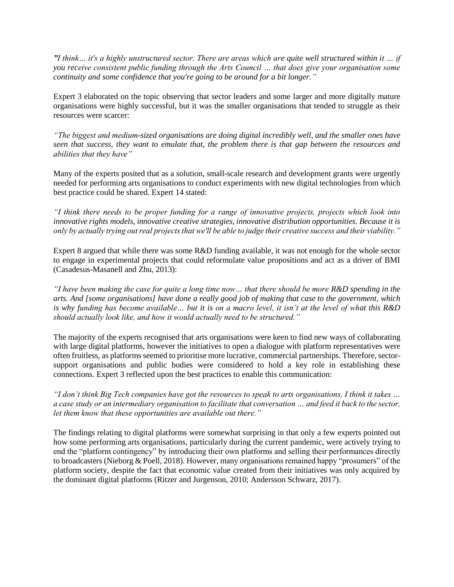*"I think… it's a highly unstructured sector. There are areas which are quite well structured within it … if you receive consistent public funding through the Arts Council … that does give your organisation some continuity and some confidence that you're going to be around for a bit longer."*

Expert 3 elaborated on the topic observing that sector leaders and some larger and more digitally mature organisations were highly successful, but it was the smaller organisations that tended to struggle as their resources were scarcer:

*"The biggest and medium-sized organisations are doing digital incredibly well, and the smaller ones have seen that success, they want to emulate that, the problem there is that gap between the resources and abilities that they have"*

Many of the experts posited that as a solution, small-scale research and development grants were urgently needed for performing arts organisations to conduct experiments with new digital technologies from which best practice could be shared. Expert 14 stated:

*"I think there needs to be proper funding for a range of innovative projects, projects which look into innovative rights models, innovative creative strategies, innovative distribution opportunities. Because it is only by actually trying out real projects that we'll be able to judge their creative success and their viability."*

Expert 8 argued that while there was some R&D funding available, it was not enough for the whole sector to engage in experimental projects that could reformulate value propositions and act as a driver of BMI (Casadesus-Masanell and Zhu, 2013):

*"I have been making the case for quite a long time now… that there should be more R&D spending in the arts. And [some organisations] have done a really good job of making that case to the government, which is why funding has become available… but it is on a macro level, it isn't at the level of what this R&D should actually look like, and how it would actually need to be structured."*

The majority of the experts recognised that arts organisations were keen to find new ways of collaborating with large digital platforms, however the initiatives to open a dialogue with platform representatives were often fruitless, as platforms seemed to prioritise more lucrative, commercial partnerships. Therefore, sectorsupport organisations and public bodies were considered to hold a key role in establishing these connections. Expert 3 reflected upon the best practices to enable this communication:

*"I don't think Big Tech companies have got the resources to speak to arts organisations, I think it takes … a case study or an intermediary organisation to facilitate that conversation … and feed it back to the sector, let them know that these opportunities are available out there."*

The findings relating to digital platforms were somewhat surprising in that only a few experts pointed out how some performing arts organisations, particularly during the current pandemic, were actively trying to end the "platform contingency" by introducing their own platforms and selling their performances directly to broadcasters (Nieborg & Poell, 2018). However, many organisations remained happy "prosumers" of the platform society, despite the fact that economic value created from their initiatives was only acquired by the dominant digital platforms (Ritzer and Jurgenson, 2010; Andersson Schwarz, 2017).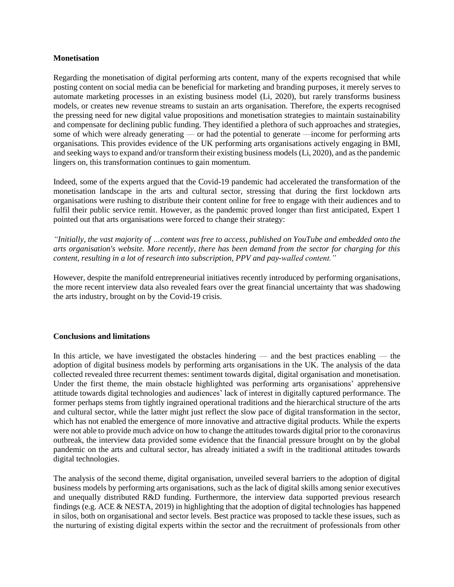### **Monetisation**

Regarding the monetisation of digital performing arts content, many of the experts recognised that while posting content on social media can be beneficial for marketing and branding purposes, it merely serves to automate marketing processes in an existing business model (Li, 2020), but rarely transforms business models, or creates new revenue streams to sustain an arts organisation. Therefore, the experts recognised the pressing need for new digital value propositions and monetisation strategies to maintain sustainability and compensate for declining public funding. They identified a plethora of such approaches and strategies, some of which were already generating — or had the potential to generate —income for performing arts organisations. This provides evidence of the UK performing arts organisations actively engaging in BMI, and seeking ways to expand and/or transform their existing business models (Li, 2020), and as the pandemic lingers on, this transformation continues to gain momentum.

Indeed, some of the experts argued that the Covid-19 pandemic had accelerated the transformation of the monetisation landscape in the arts and cultural sector, stressing that during the first lockdown arts organisations were rushing to distribute their content online for free to engage with their audiences and to fulfil their public service remit. However, as the pandemic proved longer than first anticipated, Expert 1 pointed out that arts organisations were forced to change their strategy:

*"Initially, the vast majority of …content was free to access, published on YouTube and embedded onto the arts organisation's website. More recently, there has been demand from the sector for charging for this content, resulting in a lot of research into subscription, PPV and pay-walled content."*

However, despite the manifold entrepreneurial initiatives recently introduced by performing organisations, the more recent interview data also revealed fears over the great financial uncertainty that was shadowing the arts industry, brought on by the Covid-19 crisis.

## **Conclusions and limitations**

In this article, we have investigated the obstacles hindering — and the best practices enabling — the adoption of digital business models by performing arts organisations in the UK. The analysis of the data collected revealed three recurrent themes: sentiment towards digital, digital organisation and monetisation. Under the first theme, the main obstacle highlighted was performing arts organisations' apprehensive attitude towards digital technologies and audiences' lack of interest in digitally captured performance. The former perhaps stems from tightly ingrained operational traditions and the hierarchical structure of the arts and cultural sector, while the latter might just reflect the slow pace of digital transformation in the sector, which has not enabled the emergence of more innovative and attractive digital products. While the experts were not able to provide much advice on how to change the attitudes towards digital prior to the coronavirus outbreak, the interview data provided some evidence that the financial pressure brought on by the global pandemic on the arts and cultural sector, has already initiated a swift in the traditional attitudes towards digital technologies.

The analysis of the second theme, digital organisation, unveiled several barriers to the adoption of digital business models by performing arts organisations, such as the lack of digital skills among senior executives and unequally distributed R&D funding. Furthermore, the interview data supported previous research findings (e.g. ACE & NESTA, 2019) in highlighting that the adoption of digital technologies has happened in silos, both on organisational and sector levels. Best practice was proposed to tackle these issues, such as the nurturing of existing digital experts within the sector and the recruitment of professionals from other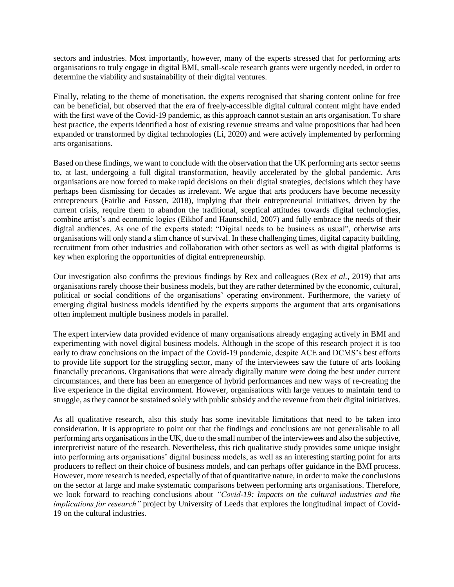sectors and industries. Most importantly, however, many of the experts stressed that for performing arts organisations to truly engage in digital BMI, small-scale research grants were urgently needed, in order to determine the viability and sustainability of their digital ventures.

Finally, relating to the theme of monetisation, the experts recognised that sharing content online for free can be beneficial, but observed that the era of freely-accessible digital cultural content might have ended with the first wave of the Covid-19 pandemic, as this approach cannot sustain an arts organisation. To share best practice, the experts identified a host of existing revenue streams and value propositions that had been expanded or transformed by digital technologies (Li, 2020) and were actively implemented by performing arts organisations.

Based on these findings, we want to conclude with the observation that the UK performing arts sector seems to, at last, undergoing a full digital transformation, heavily accelerated by the global pandemic. Arts organisations are now forced to make rapid decisions on their digital strategies, decisions which they have perhaps been dismissing for decades as irrelevant. We argue that arts producers have become necessity entrepreneurs (Fairlie and Fossen, 2018), implying that their entrepreneurial initiatives, driven by the current crisis, require them to abandon the traditional, sceptical attitudes towards digital technologies, combine artist's and economic logics (Eikhof and Haunschild, 2007) and fully embrace the needs of their digital audiences. As one of the experts stated: "Digital needs to be business as usual", otherwise arts organisations will only stand a slim chance of survival. In these challenging times, digital capacity building, recruitment from other industries and collaboration with other sectors as well as with digital platforms is key when exploring the opportunities of digital entrepreneurship.

Our investigation also confirms the previous findings by Rex and colleagues (Rex *et al.*, 2019) that arts organisations rarely choose their business models, but they are rather determined by the economic, cultural, political or social conditions of the organisations' operating environment. Furthermore, the variety of emerging digital business models identified by the experts supports the argument that arts organisations often implement multiple business models in parallel.

The expert interview data provided evidence of many organisations already engaging actively in BMI and experimenting with novel digital business models. Although in the scope of this research project it is too early to draw conclusions on the impact of the Covid-19 pandemic, despite ACE and DCMS's best efforts to provide life support for the struggling sector, many of the interviewees saw the future of arts looking financially precarious. Organisations that were already digitally mature were doing the best under current circumstances, and there has been an emergence of hybrid performances and new ways of re-creating the live experience in the digital environment. However, organisations with large venues to maintain tend to struggle, as they cannot be sustained solely with public subsidy and the revenue from their digital initiatives.

As all qualitative research, also this study has some inevitable limitations that need to be taken into consideration. It is appropriate to point out that the findings and conclusions are not generalisable to all performing arts organisations in the UK, due to the small number of the interviewees and also the subjective, interpretivist nature of the research. Nevertheless, this rich qualitative study provides some unique insight into performing arts organisations' digital business models, as well as an interesting starting point for arts producers to reflect on their choice of business models, and can perhaps offer guidance in the BMI process. However, more research is needed, especially of that of quantitative nature, in order to make the conclusions on the sector at large and make systematic comparisons between performing arts organisations. Therefore, we look forward to reaching conclusions about *"Covid-19: Impacts on the cultural industries and the implications for research"* project by University of Leeds that explores the longitudinal impact of Covid-19 on the cultural industries.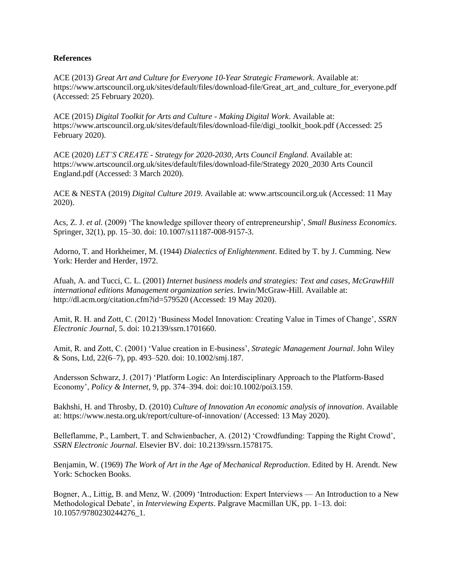### **References**

ACE (2013) *Great Art and Culture for Everyone 10-Year Strategic Framework*. Available at: https://www.artscouncil.org.uk/sites/default/files/download-file/Great\_art\_and\_culture\_for\_everyone.pdf (Accessed: 25 February 2020).

ACE (2015) *Digital Toolkit for Arts and Culture - Making Digital Work*. Available at: https://www.artscouncil.org.uk/sites/default/files/download-file/digi\_toolkit\_book.pdf (Accessed: 25 February 2020).

ACE (2020) *LET'S CREATE - Strategy for 2020-2030, Arts Council England*. Available at: https://www.artscouncil.org.uk/sites/default/files/download-file/Strategy 2020\_2030 Arts Council England.pdf (Accessed: 3 March 2020).

ACE & NESTA (2019) *Digital Culture 2019*. Available at: www.artscouncil.org.uk (Accessed: 11 May 2020).

Acs, Z. J. *et al.* (2009) 'The knowledge spillover theory of entrepreneurship', *Small Business Economics*. Springer, 32(1), pp. 15–30. doi: 10.1007/s11187-008-9157-3.

Adorno, T. and Horkheimer, M. (1944) *Dialectics of Enlightenment*. Edited by T. by J. Cumming. New York: Herder and Herder, 1972.

Afuah, A. and Tucci, C. L. (2001) *Internet business models and strategies: Text and cases*, *McGrawHill international editions Management organization series*. Irwin/McGraw-Hill. Available at: http://dl.acm.org/citation.cfm?id=579520 (Accessed: 19 May 2020).

Amit, R. H. and Zott, C. (2012) 'Business Model Innovation: Creating Value in Times of Change', *SSRN Electronic Journal*, 5. doi: 10.2139/ssrn.1701660.

Amit, R. and Zott, C. (2001) 'Value creation in E-business', *Strategic Management Journal*. John Wiley & Sons, Ltd, 22(6–7), pp. 493–520. doi: 10.1002/smj.187.

Andersson Schwarz, J. (2017) 'Platform Logic: An Interdisciplinary Approach to the Platform‐Based Economy', *Policy & Internet*, 9, pp. 374–394. doi: doi:10.1002/poi3.159.

Bakhshi, H. and Throsby, D. (2010) *Culture of Innovation An economic analysis of innovation*. Available at: https://www.nesta.org.uk/report/culture-of-innovation/ (Accessed: 13 May 2020).

Belleflamme, P., Lambert, T. and Schwienbacher, A. (2012) 'Crowdfunding: Tapping the Right Crowd', *SSRN Electronic Journal*. Elsevier BV. doi: 10.2139/ssrn.1578175.

Benjamin, W. (1969) *The Work of Art in the Age of Mechanical Reproduction*. Edited by H. Arendt. New York: Schocken Books.

Bogner, A., Littig, B. and Menz, W. (2009) 'Introduction: Expert Interviews — An Introduction to a New Methodological Debate', in *Interviewing Experts*. Palgrave Macmillan UK, pp. 1–13. doi: 10.1057/9780230244276\_1.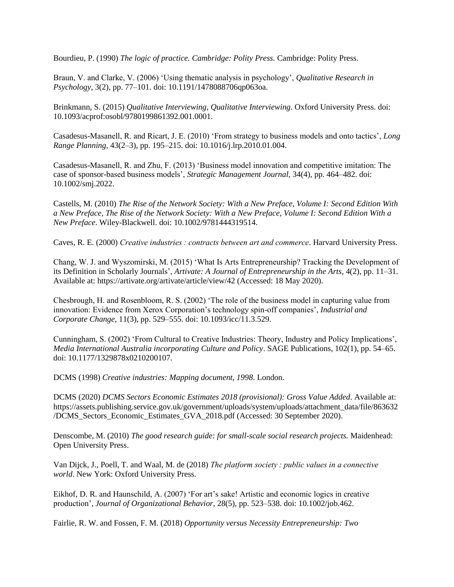Bourdieu, P. (1990) *The logic of practice. Cambridge: Polity Press.* Cambridge: Polity Press.

Braun, V. and Clarke, V. (2006) 'Using thematic analysis in psychology', *Qualitative Research in Psychology*, 3(2), pp. 77–101. doi: 10.1191/1478088706qp063oa.

Brinkmann, S. (2015) *Qualitative Interviewing*, *Qualitative Interviewing*. Oxford University Press. doi: 10.1093/acprof:osobl/9780199861392.001.0001.

Casadesus-Masanell, R. and Ricart, J. E. (2010) 'From strategy to business models and onto tactics', *Long Range Planning*, 43(2–3), pp. 195–215. doi: 10.1016/j.lrp.2010.01.004.

Casadesus-Masanell, R. and Zhu, F. (2013) 'Business model innovation and competitive imitation: The case of sponsor-based business models', *Strategic Management Journal*, 34(4), pp. 464–482. doi: 10.1002/smj.2022.

Castells, M. (2010) *The Rise of the Network Society: With a New Preface, Volume I: Second Edition With a New Preface*, *The Rise of the Network Society: With a New Preface, Volume I: Second Edition With a New Preface*. Wiley-Blackwell. doi: 10.1002/9781444319514.

Caves, R. E. (2000) *Creative industries : contracts between art and commerce*. Harvard University Press.

Chang, W. J. and Wyszomirski, M. (2015) 'What Is Arts Entrepreneurship? Tracking the Development of its Definition in Scholarly Journals', *Artivate: A Journal of Entrepreneurship in the Arts*, 4(2), pp. 11–31. Available at: https://artivate.org/artivate/article/view/42 (Accessed: 18 May 2020).

Chesbrough, H. and Rosenbloom, R. S. (2002) 'The role of the business model in capturing value from innovation: Evidence from Xerox Corporation's technology spin-off companies', *Industrial and Corporate Change*, 11(3), pp. 529–555. doi: 10.1093/icc/11.3.529.

Cunningham, S. (2002) 'From Cultural to Creative Industries: Theory, Industry and Policy Implications', *Media International Australia incorporating Culture and Policy*. SAGE Publications, 102(1), pp. 54–65. doi: 10.1177/1329878x0210200107.

DCMS (1998) *Creative industries: Mapping document, 1998*. London.

DCMS (2020) *DCMS Sectors Economic Estimates 2018 (provisional): Gross Value Added*. Available at: https://assets.publishing.service.gov.uk/government/uploads/system/uploads/attachment\_data/file/863632 /DCMS\_Sectors\_Economic\_Estimates\_GVA\_2018.pdf (Accessed: 30 September 2020).

Denscombe, M. (2010) *The good research guide: for small-scale social research projects.* Maidenhead: Open University Press.

Van Dijck, J., Poell, T. and Waal, M. de (2018) *The platform society : public values in a connective world*. New York: Oxford University Press.

Eikhof, D. R. and Haunschild, A. (2007) 'For art's sake! Artistic and economic logics in creative production', *Journal of Organizational Behavior*, 28(5), pp. 523–538. doi: 10.1002/job.462.

Fairlie, R. W. and Fossen, F. M. (2018) *Opportunity versus Necessity Entrepreneurship: Two*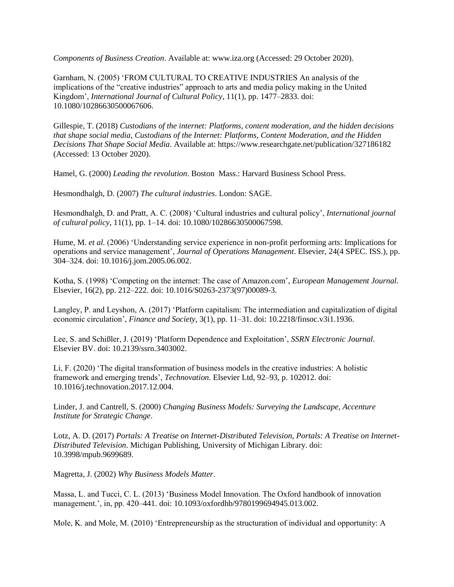*Components of Business Creation*. Available at: www.iza.org (Accessed: 29 October 2020).

Garnham, N. (2005) 'FROM CULTURAL TO CREATIVE INDUSTRIES An analysis of the implications of the "creative industries" approach to arts and media policy making in the United Kingdom', *International Journal of Cultural Policy*, 11(1), pp. 1477–2833. doi: 10.1080/10286630500067606.

Gillespie, T. (2018) *Custodians of the internet: Platforms, content moderation, and the hidden decisions that shape social media*, *Custodians of the Internet: Platforms, Content Moderation, and the Hidden Decisions That Shape Social Media*. Available at: https://www.researchgate.net/publication/327186182 (Accessed: 13 October 2020).

Hamel, G. (2000) *Leading the revolution*. Boston Mass.: Harvard Business School Press.

Hesmondhalgh, D. (2007) *The cultural industries*. London: SAGE.

Hesmondhalgh, D. and Pratt, A. C. (2008) 'Cultural industries and cultural policy', *International journal of cultural policy*, 11(1), pp. 1–14. doi: 10.1080/10286630500067598.

Hume, M. *et al.* (2006) 'Understanding service experience in non-profit performing arts: Implications for operations and service management', *Journal of Operations Management*. Elsevier, 24(4 SPEC. ISS.), pp. 304–324. doi: 10.1016/j.jom.2005.06.002.

Kotha, S. (1998) 'Competing on the internet: The case of Amazon.com', *European Management Journal*. Elsevier, 16(2), pp. 212–222. doi: 10.1016/S0263-2373(97)00089-3.

Langley, P. and Leyshon, A. (2017) 'Platform capitalism: The intermediation and capitalization of digital economic circulation', *Finance and Society*, 3(1), pp. 11–31. doi: 10.2218/finsoc.v3i1.1936.

Lee, S. and Schißler, J. (2019) 'Platform Dependence and Exploitation', *SSRN Electronic Journal*. Elsevier BV. doi: 10.2139/ssrn.3403002.

Li, F. (2020) 'The digital transformation of business models in the creative industries: A holistic framework and emerging trends', *Technovation*. Elsevier Ltd, 92–93, p. 102012. doi: 10.1016/j.technovation.2017.12.004.

Linder, J. and Cantrell, S. (2000) *Changing Business Models: Surveying the Landscape*, *Accenture Institute for Strategic Change*.

Lotz, A. D. (2017) *Portals: A Treatise on Internet-Distributed Television*, *Portals: A Treatise on Internet-Distributed Television*. Michigan Publishing, University of Michigan Library. doi: 10.3998/mpub.9699689.

Magretta, J. (2002) *Why Business Models Matter*.

Massa, L. and Tucci, C. L. (2013) 'Business Model Innovation. The Oxford handbook of innovation management.', in, pp. 420–441. doi: 10.1093/oxfordhb/9780199694945.013.002.

Mole, K. and Mole, M. (2010) 'Entrepreneurship as the structuration of individual and opportunity: A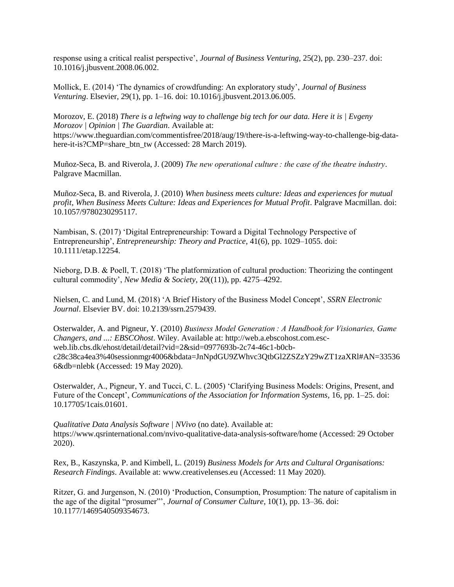response using a critical realist perspective', *Journal of Business Venturing,* 25(2), pp. 230–237. doi: 10.1016/j.jbusvent.2008.06.002.

Mollick, E. (2014) 'The dynamics of crowdfunding: An exploratory study', *Journal of Business Venturing*. Elsevier, 29(1), pp. 1–16. doi: 10.1016/j.jbusvent.2013.06.005.

Morozov, E. (2018) *There is a leftwing way to challenge big tech for our data. Here it is | Evgeny Morozov | Opinion | The Guardian*. Available at: https://www.theguardian.com/commentisfree/2018/aug/19/there-is-a-leftwing-way-to-challenge-big-datahere-it-is?CMP=share\_btn\_tw (Accessed: 28 March 2019).

Muñoz-Seca, B. and Riverola, J. (2009) *The new operational culture : the case of the theatre industry*. Palgrave Macmillan.

Muñoz-Seca, B. and Riverola, J. (2010) *When business meets culture: Ideas and experiences for mutual profit*, *When Business Meets Culture: Ideas and Experiences for Mutual Profit*. Palgrave Macmillan. doi: 10.1057/9780230295117.

Nambisan, S. (2017) 'Digital Entrepreneurship: Toward a Digital Technology Perspective of Entrepreneurship', *Entrepreneurship: Theory and Practice*, 41(6), pp. 1029–1055. doi: 10.1111/etap.12254.

Nieborg, D.B. & Poell, T. (2018) 'The platformization of cultural production: Theorizing the contingent cultural commodity', *New Media & Society*, 20((11)), pp. 4275–4292.

Nielsen, C. and Lund, M. (2018) 'A Brief History of the Business Model Concept', *SSRN Electronic Journal*. Elsevier BV. doi: 10.2139/ssrn.2579439.

Osterwalder, A. and Pigneur, Y. (2010) *Business Model Generation : A Handbook for Visionaries, Game Changers, and ...: EBSCOhost*. Wiley. Available at: http://web.a.ebscohost.com.escweb.lib.cbs.dk/ehost/detail/detail?vid=2&sid=0977693b-2c74-46c1-b0cbc28c38ca4ea3%40sessionmgr4006&bdata=JnNpdGU9ZWhvc3QtbGl2ZSZzY29wZT1zaXRl#AN=33536 6&db=nlebk (Accessed: 19 May 2020).

Osterwalder, A., Pigneur, Y. and Tucci, C. L. (2005) 'Clarifying Business Models: Origins, Present, and Future of the Concept', *Communications of the Association for Information Systems*, 16, pp. 1–25. doi: 10.17705/1cais.01601.

*Qualitative Data Analysis Software | NVivo* (no date). Available at: https://www.qsrinternational.com/nvivo-qualitative-data-analysis-software/home (Accessed: 29 October 2020).

Rex, B., Kaszynska, P. and Kimbell, L. (2019) *Business Models for Arts and Cultural Organisations: Research Findings*. Available at: www.creativelenses.eu (Accessed: 11 May 2020).

Ritzer, G. and Jurgenson, N. (2010) 'Production, Consumption, Prosumption: The nature of capitalism in the age of the digital "prosumer"', *Journal of Consumer Culture*, 10(1), pp. 13–36. doi: 10.1177/1469540509354673.